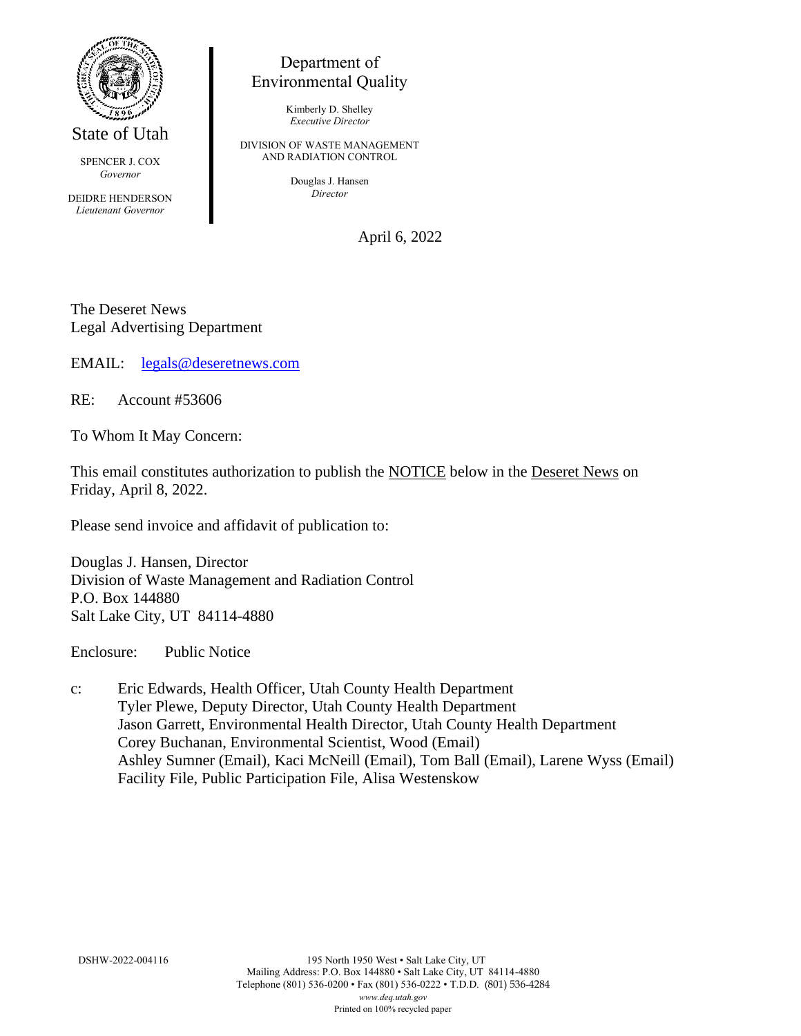

State of Utah

SPENCER J. COX *Governor*

DEIDRE HENDERSON *Lieutenant Governor*

## Department of Environmental Quality

Kimberly D. Shelley *Executive Director*

DIVISION OF WASTE MANAGEMENT AND RADIATION CONTROL

> Douglas J. Hansen *Director*

> > April 6, 2022

The Deseret News Legal Advertising Department

EMAIL: [legals@deseretnews.com](mailto:legals@deseretnews.com)

RE: Account #53606

To Whom It May Concern:

This email constitutes authorization to publish the NOTICE below in the Deseret News on Friday, April 8, 2022.

Please send invoice and affidavit of publication to:

Douglas J. Hansen, Director Division of Waste Management and Radiation Control P.O. Box 144880 Salt Lake City, UT 84114-4880

Enclosure: Public Notice

c: Eric Edwards, Health Officer, Utah County Health Department Tyler Plewe, Deputy Director, Utah County Health Department Jason Garrett, Environmental Health Director, Utah County Health Department Corey Buchanan, Environmental Scientist, Wood (Email) Ashley Sumner (Email), Kaci McNeill (Email), Tom Ball (Email), Larene Wyss (Email) Facility File, Public Participation File, Alisa Westenskow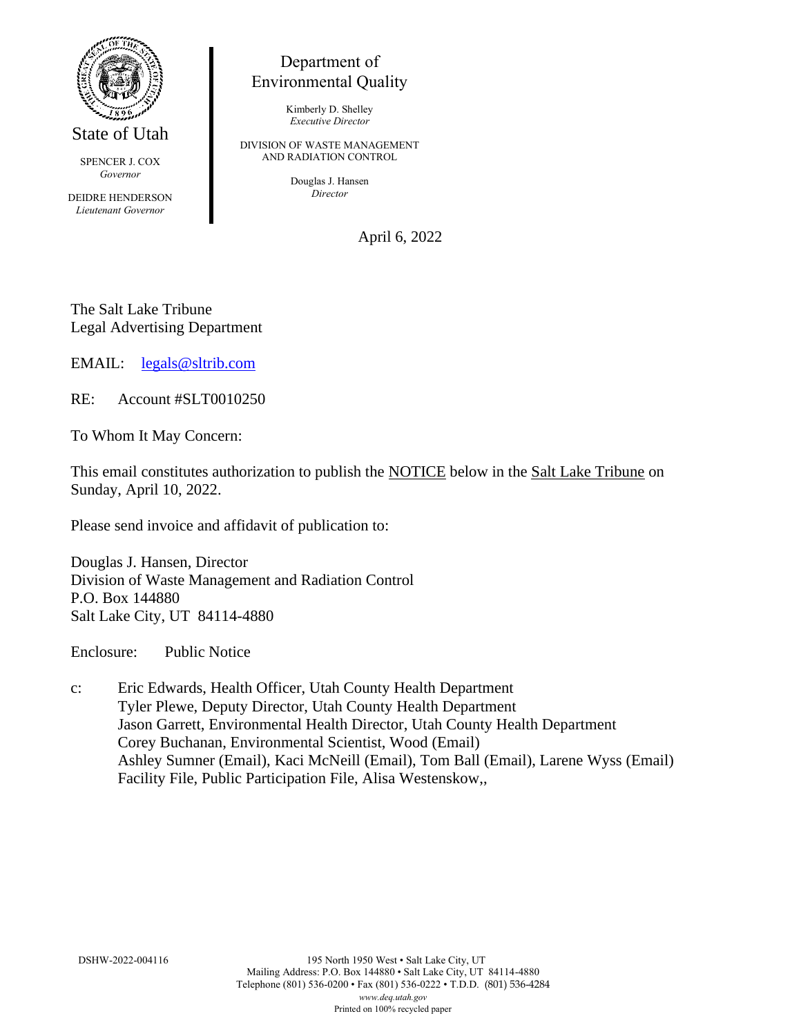

State of Utah

SPENCER J. COX *Governor*

DEIDRE HENDERSON *Lieutenant Governor*

## Department of Environmental Quality

Kimberly D. Shelley *Executive Director*

DIVISION OF WASTE MANAGEMENT AND RADIATION CONTROL

> Douglas J. Hansen *Director*

> > April 6, 2022

The Salt Lake Tribune Legal Advertising Department

EMAIL: [legals@sltrib.com](mailto:legals@sltrib.com)

RE: Account #SLT0010250

To Whom It May Concern:

This email constitutes authorization to publish the NOTICE below in the Salt Lake Tribune on Sunday, April 10, 2022.

Please send invoice and affidavit of publication to:

Douglas J. Hansen, Director Division of Waste Management and Radiation Control P.O. Box 144880 Salt Lake City, UT 84114-4880

Enclosure: Public Notice

c: Eric Edwards, Health Officer, Utah County Health Department Tyler Plewe, Deputy Director, Utah County Health Department Jason Garrett, Environmental Health Director, Utah County Health Department Corey Buchanan, Environmental Scientist, Wood (Email) Ashley Sumner (Email), Kaci McNeill (Email), Tom Ball (Email), Larene Wyss (Email) Facility File, Public Participation File, Alisa Westenskow,,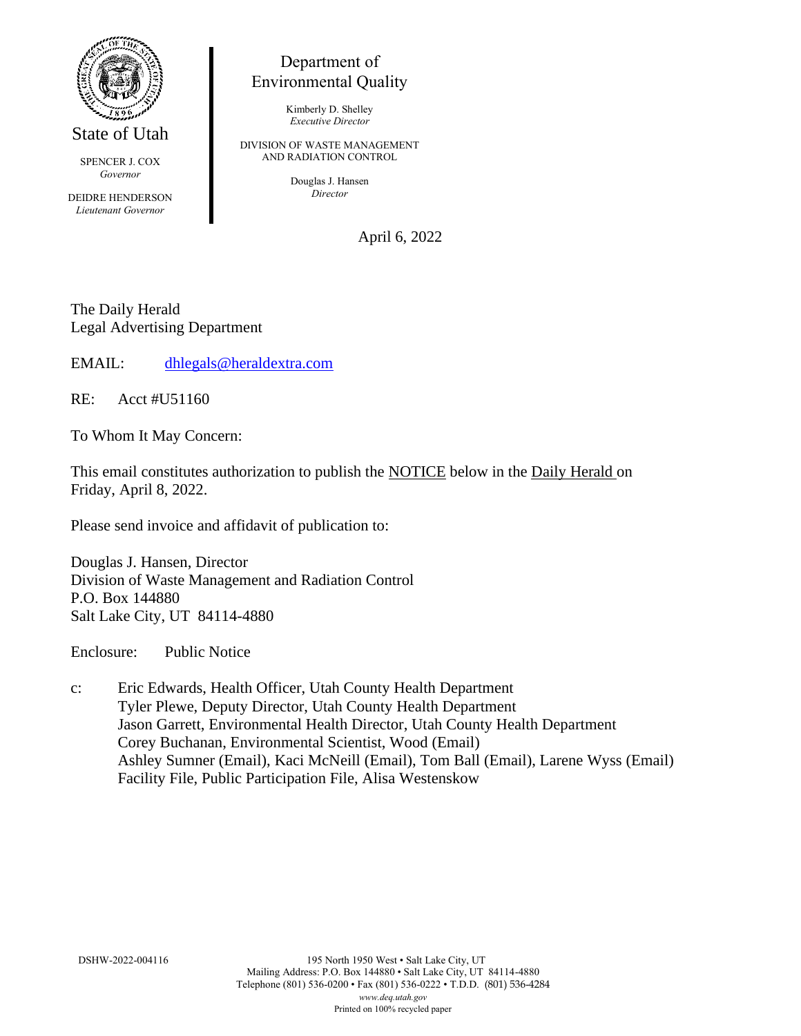

State of Utah

SPENCER J. COX *Governor*

DEIDRE HENDERSON *Lieutenant Governor*

## Department of Environmental Quality

Kimberly D. Shelley *Executive Director*

DIVISION OF WASTE MANAGEMENT AND RADIATION CONTROL

> Douglas J. Hansen *Director*

> > April 6, 2022

The Daily Herald Legal Advertising Department

EMAIL: [dhlegals@heraldextra.com](mailto:dhlegals@heraldextra.com)

RE: Acct #U51160

To Whom It May Concern:

This email constitutes authorization to publish the NOTICE below in the Daily Herald on Friday, April 8, 2022.

Please send invoice and affidavit of publication to:

Douglas J. Hansen, Director Division of Waste Management and Radiation Control P.O. Box 144880 Salt Lake City, UT 84114-4880

Enclosure: Public Notice

c: Eric Edwards, Health Officer, Utah County Health Department Tyler Plewe, Deputy Director, Utah County Health Department Jason Garrett, Environmental Health Director, Utah County Health Department Corey Buchanan, Environmental Scientist, Wood (Email) Ashley Sumner (Email), Kaci McNeill (Email), Tom Ball (Email), Larene Wyss (Email) Facility File, Public Participation File, Alisa Westenskow